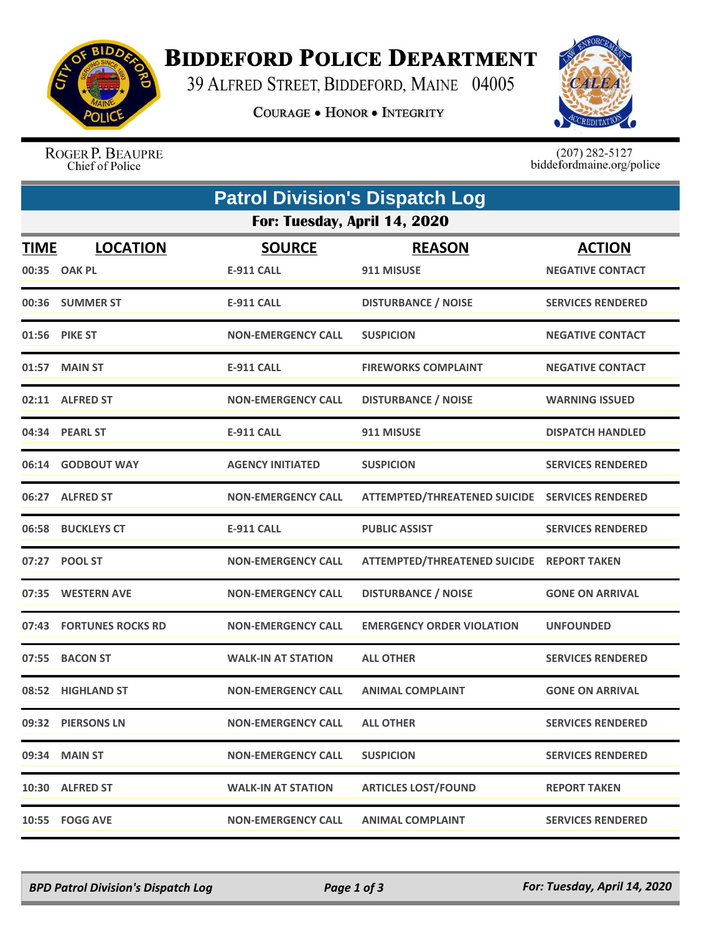

## **BIDDEFORD POLICE DEPARTMENT**

39 ALFRED STREET, BIDDEFORD, MAINE 04005

**COURAGE . HONOR . INTEGRITY** 



ROGER P. BEAUPRE Chief of Police

 $(207)$  282-5127<br>biddefordmaine.org/police

|             | <b>Patrol Division's Dispatch Log</b> |                                    |                                                |                                          |  |  |  |  |
|-------------|---------------------------------------|------------------------------------|------------------------------------------------|------------------------------------------|--|--|--|--|
|             | For: Tuesday, April 14, 2020          |                                    |                                                |                                          |  |  |  |  |
| <b>TIME</b> | <b>LOCATION</b><br>00:35 OAK PL       | <b>SOURCE</b><br><b>E-911 CALL</b> | <b>REASON</b><br>911 MISUSE                    | <b>ACTION</b><br><b>NEGATIVE CONTACT</b> |  |  |  |  |
|             | 00:36 SUMMER ST                       | <b>E-911 CALL</b>                  | <b>DISTURBANCE / NOISE</b>                     | <b>SERVICES RENDERED</b>                 |  |  |  |  |
|             | 01:56 PIKE ST                         | <b>NON-EMERGENCY CALL</b>          | <b>SUSPICION</b>                               | <b>NEGATIVE CONTACT</b>                  |  |  |  |  |
|             | 01:57 MAIN ST                         | <b>E-911 CALL</b>                  | <b>FIREWORKS COMPLAINT</b>                     | <b>NEGATIVE CONTACT</b>                  |  |  |  |  |
|             | 02:11 ALFRED ST                       | <b>NON-EMERGENCY CALL</b>          | <b>DISTURBANCE / NOISE</b>                     | <b>WARNING ISSUED</b>                    |  |  |  |  |
|             | 04:34 PEARL ST                        | <b>E-911 CALL</b>                  | 911 MISUSE                                     | <b>DISPATCH HANDLED</b>                  |  |  |  |  |
|             | 06:14 GODBOUT WAY                     | <b>AGENCY INITIATED</b>            | <b>SUSPICION</b>                               | <b>SERVICES RENDERED</b>                 |  |  |  |  |
|             | 06:27 ALFRED ST                       | <b>NON-EMERGENCY CALL</b>          | ATTEMPTED/THREATENED SUICIDE SERVICES RENDERED |                                          |  |  |  |  |
|             | 06:58 BUCKLEYS CT                     | <b>E-911 CALL</b>                  | <b>PUBLIC ASSIST</b>                           | <b>SERVICES RENDERED</b>                 |  |  |  |  |
|             | 07:27 POOL ST                         | <b>NON-EMERGENCY CALL</b>          | ATTEMPTED/THREATENED SUICIDE REPORT TAKEN      |                                          |  |  |  |  |
|             | 07:35 WESTERN AVE                     | <b>NON-EMERGENCY CALL</b>          | <b>DISTURBANCE / NOISE</b>                     | <b>GONE ON ARRIVAL</b>                   |  |  |  |  |
|             | 07:43 FORTUNES ROCKS RD               | <b>NON-EMERGENCY CALL</b>          | <b>EMERGENCY ORDER VIOLATION</b>               | <b>UNFOUNDED</b>                         |  |  |  |  |
|             | 07:55 BACON ST                        | <b>WALK-IN AT STATION</b>          | <b>ALL OTHER</b>                               | <b>SERVICES RENDERED</b>                 |  |  |  |  |
|             | 08:52 HIGHLAND ST                     | <b>NON-EMERGENCY CALL</b>          | <b>ANIMAL COMPLAINT</b>                        | <b>GONE ON ARRIVAL</b>                   |  |  |  |  |
|             | 09:32 PIERSONS LN                     | <b>NON-EMERGENCY CALL</b>          | <b>ALL OTHER</b>                               | <b>SERVICES RENDERED</b>                 |  |  |  |  |
|             | 09:34 MAIN ST                         | <b>NON-EMERGENCY CALL</b>          | <b>SUSPICION</b>                               | <b>SERVICES RENDERED</b>                 |  |  |  |  |
|             | 10:30 ALFRED ST                       | <b>WALK-IN AT STATION</b>          | <b>ARTICLES LOST/FOUND</b>                     | <b>REPORT TAKEN</b>                      |  |  |  |  |
|             | 10:55 FOGG AVE                        | <b>NON-EMERGENCY CALL</b>          | <b>ANIMAL COMPLAINT</b>                        | <b>SERVICES RENDERED</b>                 |  |  |  |  |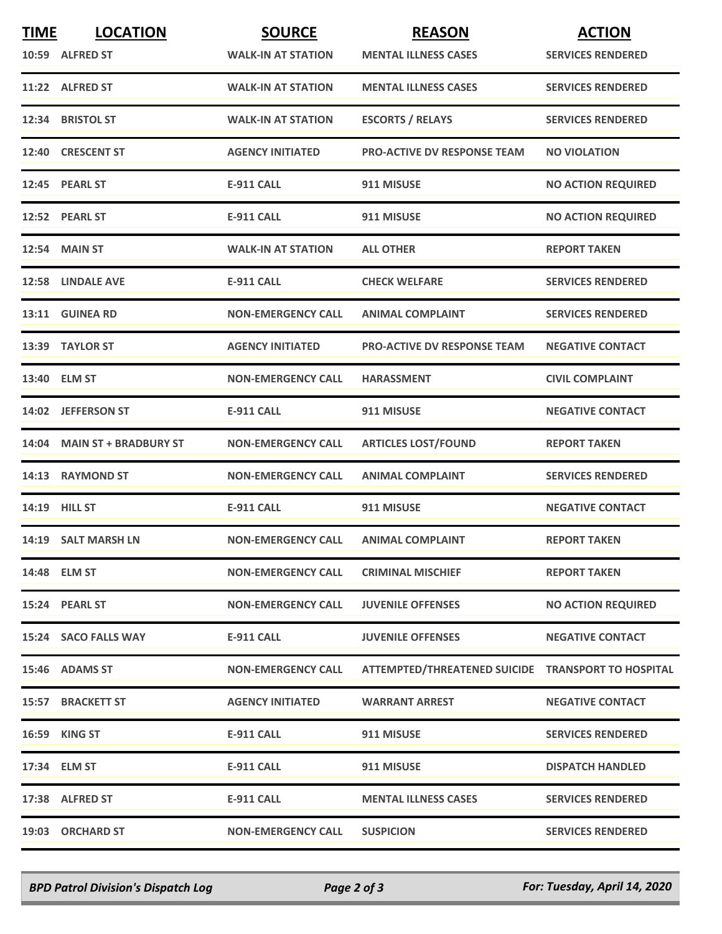| <b>TIME</b> | <b>LOCATION</b><br>10:59 ALFRED ST | <b>SOURCE</b><br><b>WALK-IN AT STATION</b> | <b>REASON</b><br><b>MENTAL ILLNESS CASES</b>       | <b>ACTION</b><br><b>SERVICES RENDERED</b> |
|-------------|------------------------------------|--------------------------------------------|----------------------------------------------------|-------------------------------------------|
|             | 11:22 ALFRED ST                    | <b>WALK-IN AT STATION</b>                  | <b>MENTAL ILLNESS CASES</b>                        | <b>SERVICES RENDERED</b>                  |
|             | 12:34 BRISTOL ST                   | <b>WALK-IN AT STATION</b>                  | <b>ESCORTS / RELAYS</b>                            | <b>SERVICES RENDERED</b>                  |
|             | 12:40 CRESCENT ST                  | <b>AGENCY INITIATED</b>                    | <b>PRO-ACTIVE DV RESPONSE TEAM</b>                 | <b>NO VIOLATION</b>                       |
|             | 12:45 PEARL ST                     | <b>E-911 CALL</b>                          | 911 MISUSE                                         | <b>NO ACTION REQUIRED</b>                 |
|             | 12:52 PEARL ST                     | <b>E-911 CALL</b>                          | 911 MISUSE                                         | <b>NO ACTION REQUIRED</b>                 |
|             | <b>12:54 MAIN ST</b>               | <b>WALK-IN AT STATION</b>                  | <b>ALL OTHER</b>                                   | <b>REPORT TAKEN</b>                       |
|             | 12:58 LINDALE AVE                  | <b>E-911 CALL</b>                          | <b>CHECK WELFARE</b>                               | <b>SERVICES RENDERED</b>                  |
|             | 13:11 GUINEA RD                    | <b>NON-EMERGENCY CALL</b>                  | <b>ANIMAL COMPLAINT</b>                            | <b>SERVICES RENDERED</b>                  |
|             | 13:39 TAYLOR ST                    | <b>AGENCY INITIATED</b>                    | <b>PRO-ACTIVE DV RESPONSE TEAM</b>                 | <b>NEGATIVE CONTACT</b>                   |
|             | 13:40 ELM ST                       | <b>NON-EMERGENCY CALL</b>                  | <b>HARASSMENT</b>                                  | <b>CIVIL COMPLAINT</b>                    |
|             | 14:02 JEFFERSON ST                 | <b>E-911 CALL</b>                          | 911 MISUSE                                         | <b>NEGATIVE CONTACT</b>                   |
|             | 14:04 MAIN ST + BRADBURY ST        | <b>NON-EMERGENCY CALL</b>                  | <b>ARTICLES LOST/FOUND</b>                         | <b>REPORT TAKEN</b>                       |
|             | 14:13 RAYMOND ST                   | <b>NON-EMERGENCY CALL</b>                  | <b>ANIMAL COMPLAINT</b>                            | <b>SERVICES RENDERED</b>                  |
|             | 14:19 HILL ST                      | <b>E-911 CALL</b>                          | 911 MISUSE                                         | <b>NEGATIVE CONTACT</b>                   |
|             | 14:19 SALT MARSH LN                | <b>NON-EMERGENCY CALL</b>                  | <b>ANIMAL COMPLAINT</b>                            | <b>REPORT TAKEN</b>                       |
|             | 14:48 ELM ST                       | <b>NON-EMERGENCY CALL</b>                  | <b>CRIMINAL MISCHIEF</b>                           | <b>REPORT TAKEN</b>                       |
|             | 15:24 PEARL ST                     | <b>NON-EMERGENCY CALL</b>                  | <b>JUVENILE OFFENSES</b>                           | <b>NO ACTION REQUIRED</b>                 |
|             | 15:24 SACO FALLS WAY               | <b>E-911 CALL</b>                          | <b>JUVENILE OFFENSES</b>                           | <b>NEGATIVE CONTACT</b>                   |
|             | 15:46 ADAMS ST                     | <b>NON-EMERGENCY CALL</b>                  | ATTEMPTED/THREATENED SUICIDE TRANSPORT TO HOSPITAL |                                           |
|             | 15:57 BRACKETT ST                  | <b>AGENCY INITIATED</b>                    | <b>WARRANT ARREST</b>                              | <b>NEGATIVE CONTACT</b>                   |
|             | 16:59 KING ST                      | <b>E-911 CALL</b>                          | 911 MISUSE                                         | <b>SERVICES RENDERED</b>                  |
|             | 17:34 ELM ST                       | <b>E-911 CALL</b>                          | 911 MISUSE                                         | <b>DISPATCH HANDLED</b>                   |
|             | 17:38 ALFRED ST                    | <b>E-911 CALL</b>                          | <b>MENTAL ILLNESS CASES</b>                        | <b>SERVICES RENDERED</b>                  |
|             | 19:03 ORCHARD ST                   | <b>NON-EMERGENCY CALL</b>                  | <b>SUSPICION</b>                                   | <b>SERVICES RENDERED</b>                  |

*BPD Patrol Division's Dispatch Log Page 2 of 3 For: Tuesday, April 14, 2020*